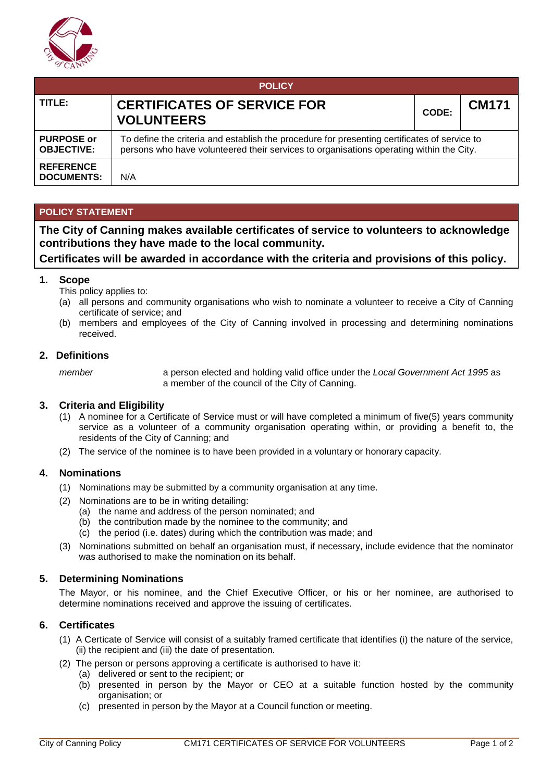

| <b>POLICY</b>                          |                                                                                                                                                                                         |       |              |  |  |  |  |
|----------------------------------------|-----------------------------------------------------------------------------------------------------------------------------------------------------------------------------------------|-------|--------------|--|--|--|--|
| TITLE:                                 | <b>CERTIFICATES OF SERVICE FOR</b><br><b>VOLUNTEERS</b>                                                                                                                                 | CODE: | <b>CM171</b> |  |  |  |  |
| <b>PURPOSE or</b><br><b>OBJECTIVE:</b> | To define the criteria and establish the procedure for presenting certificates of service to<br>persons who have volunteered their services to organisations operating within the City. |       |              |  |  |  |  |
| <b>REFERENCE</b><br><b>DOCUMENTS:</b>  | N/A                                                                                                                                                                                     |       |              |  |  |  |  |

### **POLICY STATEMENT**

**The City of Canning makes available certificates of service to volunteers to acknowledge contributions they have made to the local community.**

## **Certificates will be awarded in accordance with the criteria and provisions of this policy.**

#### **1. Scope**

- This policy applies to:
- (a) all persons and community organisations who wish to nominate a volunteer to receive a City of Canning certificate of service; and
- (b) members and employees of the City of Canning involved in processing and determining nominations received.

#### **2. Definitions**

*member* a person elected and holding valid office under the *Local Government Act 1995* as a member of the council of the City of Canning.

#### **3. Criteria and Eligibility**

- (1) A nominee for a Certificate of Service must or will have completed a minimum of five(5) years community service as a volunteer of a community organisation operating within, or providing a benefit to, the residents of the City of Canning; and
- (2) The service of the nominee is to have been provided in a voluntary or honorary capacity.

#### **4. Nominations**

- (1) Nominations may be submitted by a community organisation at any time.
- (2) Nominations are to be in writing detailing:
	- (a) the name and address of the person nominated; and
	- (b) the contribution made by the nominee to the community; and
	- (c) the period (i.e. dates) during which the contribution was made; and
- (3) Nominations submitted on behalf an organisation must, if necessary, include evidence that the nominator was authorised to make the nomination on its behalf.

#### **5. Determining Nominations**

The Mayor, or his nominee, and the Chief Executive Officer, or his or her nominee, are authorised to determine nominations received and approve the issuing of certificates.

#### **6. Certificates**

- (1) A Certicate of Service will consist of a suitably framed certificate that identifies (i) the nature of the service, (ii) the recipient and (iii) the date of presentation.
- (2) The person or persons approving a certificate is authorised to have it:
	- (a) delivered or sent to the recipient; or
	- (b) presented in person by the Mayor or CEO at a suitable function hosted by the community organisation; or
	- (c) presented in person by the Mayor at a Council function or meeting.